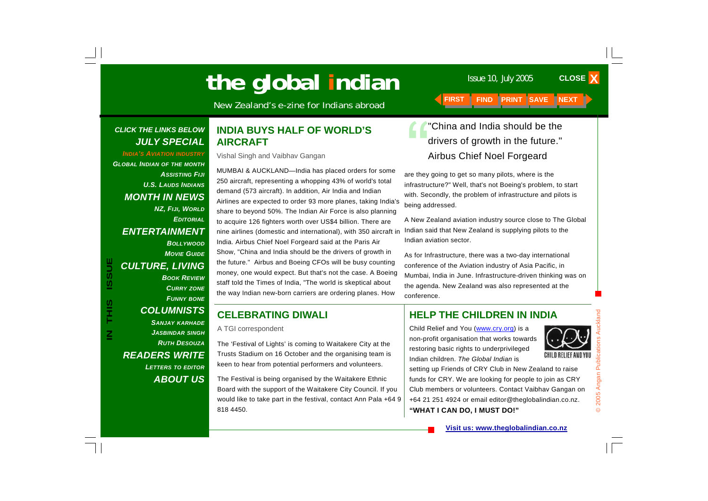# The global indian **The global indian**

New Zealand's e-zine for Indians abroad **FIRST** 

#### *CLICK THE LINKS BELOW JULY SPECIAL*

*INDIA'S AVIATION INDUSTRY GLOBAL INDIAN OF THE MONTH ASSISTING FIJIU.S. LAUDS INDIANSMONTH IN NEWS NZ, FIJI, WORLD EDITORIAL***ENTERTAINMENT** *BOLLYWOODMOVIE GUIDECULTURE, LIVING BOOK REVIEWCURRY ZONE*

### *COLUMNISTS*

**IN THIS ISSUE**

S<br>H<br>H<br>H

 $\overline{\mathsf{z}}$ 

**ISSUE** 

*FUNNY BONE*

*SANJAY KARHADE JASBINDAR SINGH RUTH DESOUZAREADERS WRITE LETTERS TO EDITOR ABOUT US*

#### **INDIA BUYS HALF OF WORLD'S AIRCRAFT**

Vishal Singh and Vaibhav Gangan

MUMBAI & AUCKLAND—India has placed orders for some 250 aircraft, representing a whopping 43% of world's total demand (573 aircraft). In addition, Air India and Indian Airlines are expected to order 93 more planes, taking India's share to beyond 50%. The Indian Air Force is also planning to acquire 126 fighters worth over US\$4 billion. There are nine airlines (domestic and international), with 350 aircraft in India. Airbus Chief Noel Forgeard said at the Paris Air Show, "China and India should be the drivers of growth in the future." Airbus and Boeing CFOs will be busy counting money, one would expect. But that's not the case. A Boeing staff told the Times of India, "The world is skeptical about the way Indian new-born carriers are ordering planes. How

#### **CELEBRATING DIWALI**

A TGI correspondent

The 'Festival of Lights' is coming to Waitakere City at the Trusts Stadium on 16 October and the organising team is keen to hear from potential performers and volunteers.

The Festival is being organised by the Waitakere Ethnic Board with the support of the Waitakere City Council. If you would like to take part in the festival, contact Ann Pala +64 9 818 4450.

"China and India should be the drivers of growth in the future." Airbus Chief Noel Forgeard

are they going to get so many pilots, where is the infrastructure?" Well, that's not Boeing's problem, to start with. Secondly, the problem of infrastructure and pilots is being addressed.

A New Zealand aviation industry source close to The Global Indian said that New Zealand is supplying pilots to the Indian aviation sector.

As for Infrastructure, there was a two-day international conference of the Aviation industry of Asia Pacific, in Mumbai, India in June. Infrastructure-driven thinking was on the agenda. New Zealand was also represented at the conference.

#### **HELP THE CHILDREN IN INDIA**

Child Relief and You (www.cry.org) is a non-profit organisation that works towards restoring basic rights to underprivileged Indian children. *The Global Indian* is



setting up Friends of CRY Club in New Zealand to raise funds for CRY. We are looking for people to join as CRY Club members or volunteers. Contact Vaibhav Gangan on +64 21 251 4924 or email editor@theglobalindian.co.nz. **"WHAT I CAN DO, I MUST DO!"**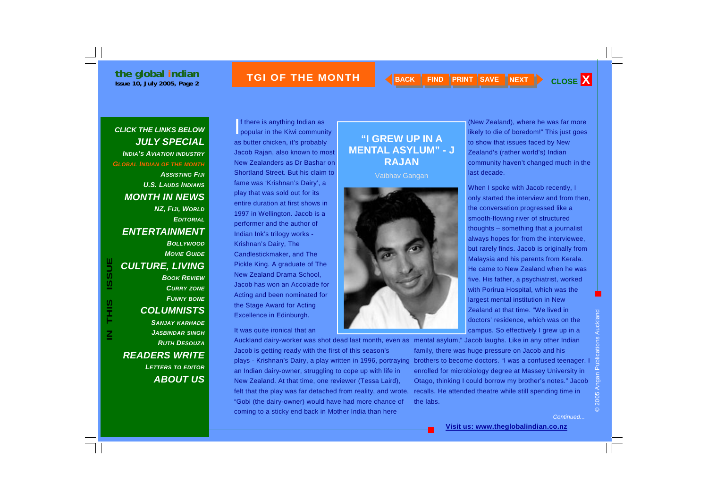#### **ISSUE THE MONTH A RACK FIND PRINT SAVE NEXT CLOSE X**



#### *CLICK THE LINKS BELOW JULY SPECIAL INDIA'S AVIATION INDUSTRY GLOBAL INDIAN OF THE MONTH ASSISTING FIJIU.S. LAUDS INDIANSMONTH IN NEWS NZ, FIJI, WORLD EDITORIALENTERTAINMENT BOLLYWOODMOVIE GUIDECULTURE, LIVING BOOK REVIEWCURRY ZONE*

*FUNNY BONE COLUMNISTS SANJAY KARHADE JASBINDAR SINGH RUTH DESOUZAREADERS WRITE LETTERS TO EDITOR ABOUT US*

**IN THIS ISSUE**

S<br>H<br>H<br>H

 $\overline{\mathsf{z}}$ 

**ISSUE** 

If there is anything Indian as popular in the Kiwi community as butter chicken, it's probably Jacob Rajan, also known to most New Zealanders as Dr Bashar on Shortland Street. But his claim to fame was 'Krishnan's Dairy', a play that was sold out for its entire duration at first shows in 1997 in Wellington. Jacob is a performer and the author of Indian Ink's trilogy works - Krishnan's Dairy, The Candlestickmaker, and The Pickle King. A graduate of The New Zealand Drama School, Jacob has won an Accolade for Acting and been nominated for the Stage Award for Acting Excellence in Edinburgh.

#### It was quite ironical that an

Auckland dairy-worker was shot dead last month, even as mental asylum," Jacob laughs. Like in any other Indian Jacob is getting ready with the first of this season's plays - Krishnan's Dairy, a play written in 1996, portraying an Indian dairy-owner, struggling to cope up with life in New Zealand. At that time, one reviewer (Tessa Laird), felt that the play was far detached from reality, and wrote, "Gobi (the dairy-owner) would have had more chance of coming to a sticky end back in Mother India than here

#### **"I GREW UP IN A MENTAL ASYLUM" - J RAJAN**

Vaibhav Gangan



(New Zealand), where he was far more likely to die of boredom!" This just goes to show that issues faced by New Zealand's (rather world's) Indian community haven't changed much in the last decade.

When I spoke with Jacob recently, I only started the interview and from then, the conversation progressed like a smooth-flowing river of structured thoughts – something that a journalist always hopes for from the interviewee, but rarely finds. Jacob is originally from Malaysia and his parents from Kerala. He came to New Zealand when he was five. His father, a psychiatrist, worked with Porirua Hospital, which was the largest mental institution in New Zealand at that time. "We lived in doctors' residence, which was on the campus. So effectively I grew up in a

family, there was huge pressure on Jacob and his brothers to become doctors. "I was a confused teenager. I enrolled for microbiology degree at Massey University in Otago, thinking I could borrow my brother's notes." Jacob recalls. He attended theatre while still spending time in the labs.

© 2005 Angan Publications Auckland

*Continued...*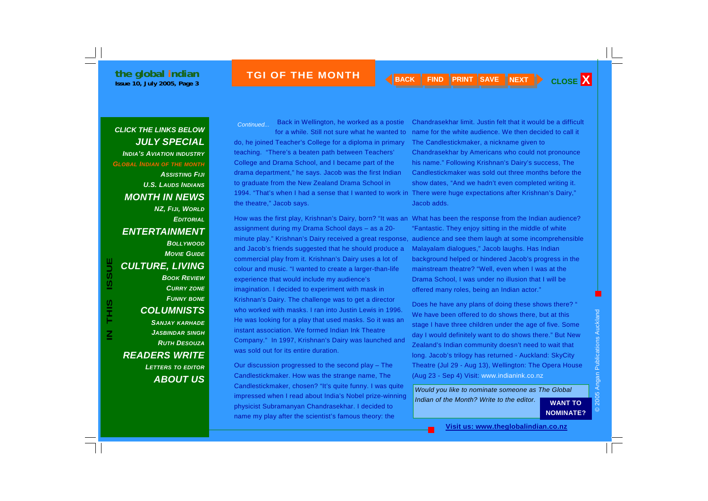*CLICK THE LINKS BELOW JULY SPECIAL INDIA'S AVIATION INDUSTRY GLOBAL INDIAN OF THE MONTH ASSISTING FIJIU.S. LAUDS INDIANSMONTH IN NEWS NZ, FIJI, WORLD EDITORIALENTERTAINMENT BOLLYWOODMOVIE GUIDECULTURE, LIVING BOOK REVIEWCURRY ZONE FUNNY BONE COLUMNISTS SANJAY KARHADE JASBINDAR SINGH RUTH DESOUZA READERS WRITE LETTERS TO EDITOR*

*ABOUT US*

 Back in Wellington, he worked as a postie for a while. Still not sure what he wanted to *Continued...* 

do, he joined Teacher's College for a diploma in primary teaching. "There's a beaten path between Teachers' College and Drama School, and I became part of the drama department," he says. Jacob was the first Indian to graduate from the New Zealand Drama School in 1994. "That's when I had a sense that I wanted to work in There were huge expectations after Krishnan's Dairy," the theatre," Jacob says.

How was the first play, Krishnan's Dairy, born? "It was an What has been the response from the Indian audience? assignment during my Drama School days – as a 20 and Jacob's friends suggested that he should produce a commercial play from it. Krishnan's Dairy uses a lot of colour and music. "I wanted to create a larger-than-life experience that would include my audience's imagination. I decided to experiment with mask in Krishnan's Dairy. The challenge was to get a director who worked with masks. I ran into Justin Lewis in 1996. He was looking for a play that used masks. So it was an instant association. We formed Indian Ink Theatre Company." In 1997, Krishnan's Dairy was launched and was sold out for its entire duration.

Our discussion progressed to the second play – The Candlestickmaker. How was the strange name, The Candlestickmaker, chosen? "It's quite funny. I was quite impressed when I read about India's Nobel prize-winning physicist Subramanyan Chandrasekhar. I decided to name my play after the scientist's famous theory: the

Chandrasekhar limit. Justin felt that it would be a difficult name for the white audience. We then decided to call it The Candlestickmaker, a nickname given to Chandrasekhar by Americans who could not pronounce his name." Following Krishnan's Dairy's success, The Candlestickmaker was sold out three months before the show dates, "And we hadn't even completed writing it. Jacob adds.

minute play." Krishnan's Dairy received a great response, audience and see them laugh at some incomprehensible "Fantastic. They enjoy sitting in the middle of white Malayalam dialogues," Jacob laughs. Has Indian background helped or hindered Jacob's progress in the mainstream theatre? "Well, even when I was at the Drama School, I was under no illusion that I will be offered many roles, being an Indian actor."

> Does he have any plans of doing these shows there? " We have been offered to do shows there, but at this stage I have three children under the age of five. Some day I would definitely want to do shows there." But New Zealand's Indian community doesn't need to wait that long. Jacob's trilogy has returned - Auckland: SkyCity Theatre (Jul 29 - Aug 13), Wellington: The Opera House (Aug 23 - Sep 4) Visit: www.indianink.co.nz

*Would you like to nominate someone as The Global Indian of the Month? Write to the editor.* **WANT TO** 

**NOMINATE?**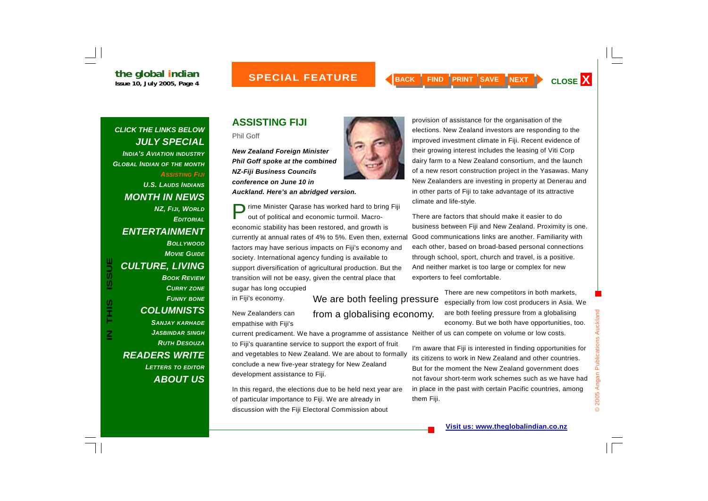#### **INC ON THE BACK CONSTRUCTS AND RESOURDED A SPECIAL FEATURE AND SAVE SAVE TREXT AND CLOSE X SUBSEX SERVICES AND SAVE TREXT AND SAVE TREXT AND SAVE TREXT AND SAVE TREXT AND SAVE TREXT AND SAVE TREXT AND SAVE TREXT AND SAVE MONTH**

*CLICK THE LINKS BELOW JULY SPECIAL INDIA'S AVIATION INDUSTRY GLOBAL INDIAN OF THE MONTH ASSISTING FIJIU.S. LAUDS INDIANSMONTH IN NEWS NZ, FIJI, WORLD EDITORIALENTERTAINMENT BOLLYWOODMOVIE GUIDECULTURE, LIVING BOOK REVIEWCURRY ZONE FUNNY BONE COLUMNISTS SANJAY KARHADE JASBINDAR SINGH RUTH DESOUZA***IN CULTURE, LIVING**<br> **IN BOOK REVIEW**<br> **IN BOOK REVIEW**<br> **IN BOOK REVIEW**<br> **IN BOOK REVIEW**<br> **IN THIS IS ANDER SANJAY KARHADE**<br> **IN THIS ANDER SANJAY KARHADE**<br> **IN THIS ANDER SANJAY KARHADE**<br> **IN THIS ANDER SANJAY COLUMNI** 

*READERS WRITE* 

*LETTERS TO EDITOR*

*ABOUT US*

### **ASSISTING FIJI**

Phil Goff

*New Zealand Foreign Minister Phil Goff spoke at the combined NZ-Fiji Business Councils conference on June 10 in Auckland. Here's an abridged version.* 

Prime Minister Qarase has worked hard to bring Fiji<br>out of political and economic turmoil. Macroeconomic stability has been restored, and growth is currently at annual rates of 4% to 5%. Even then, external factors may have serious impacts on Fiji's economy and society. International agency funding is available to support diversification of agricultural production. But the transition will not be easy, given the central place that sugar has long occupied

in Fiji's economy.

New Zealanders can empathise with Fiji's

current predicament. We have a programme of assistance Neither of us can compete on volume or low costs.

to Fiji's quarantine service to support the export of fruit and vegetables to New Zealand. We are about to formally conclude a new five-year strategy for New Zealand development assistance to Fiji.

In this regard, the elections due to be held next year are of particular importance to Fiji. We are already in discussion with the Fiji Electoral Commission about



There are factors that should make it easier to do business between Fiji and New Zealand. Proximity is one. Good communications links are another. Familiarity with each other, based on broad-based personal connections through school, sport, church and travel, is a positive. And neither market is too large or complex for new exporters to feel comfortable.

> There are new competitors in both markets, especially from low cost producers in Asia. We are both feeling pressure from a globalising economy. But we both have opportunities, too.

I'm aware that Fiji is interested in finding opportunities for its citizens to work in New Zealand and other countries. But for the moment the New Zealand government does not favour short-term work schemes such as we have had in place in the past with certain Pacific countries, among them Fiji.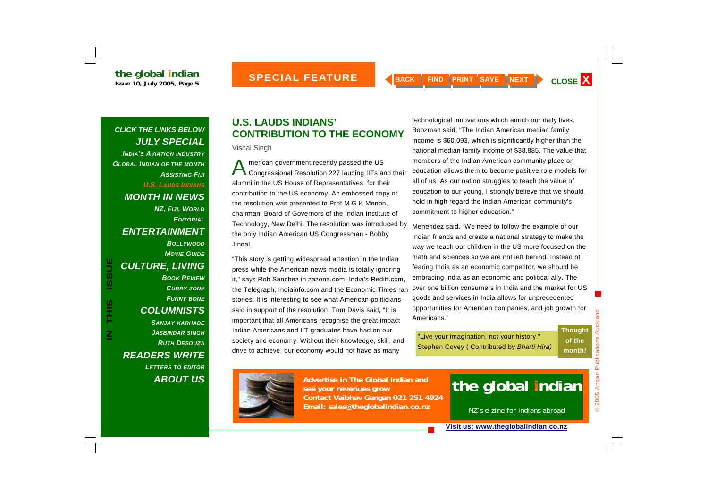#### *CLICK THE LINKS BELOW JULY SPECIAL INDIA'S AVIATION INDUSTRY GLOBAL INDIAN OF THE MONTH ASSISTING FIJIU.S. LAUDS INDIANS*

*MONTH IN NEWS NZ, FIJI, WORLD EDITORIALENTERTAINMENT* 

> *BOLLYWOODMOVIE GUIDE*

*CULTURE, LIVING BOOK REVIEWCURRY ZONE FUNNY BONE COLUMNISTS SANJAY KARHADE JASBINDAR SINGH RUTH DESOUZA*

*READERS WRITE LETTERS TO EDITOR ABOUT US*

#### **U.S. LAUDS INDIANS' CONTRIBUTION TO THE ECONOMY**

Vishal Singh

A merican government recently passed the US Congressional Resolution 227 lauding IITs and their alumni in the US House of Representatives, for their contribution to the US economy. An embossed copy of the resolution was presented to Prof M G K Menon, chairman, Board of Governors of the Indian Institute of Technology, New Delhi. The resolution was introduced by the only Indian American US Congressman - Bobby Jindal.

"This story is getting widespread attention in the Indian press while the American news media is totally ignoring it," says Rob Sanchez in zazona.com. India's Rediff.com, the Telegraph, Indiainfo.com and the Economic Times ran stories. It is interesting to see what American politicians said in support of the resolution. Tom Davis said, "It is important that all Americans recognise the great impact Indian Americans and IIT graduates have had on our society and economy. Without their knowledge, skill, and drive to achieve, our economy would not have as many

technological innovations which enrich our daily lives. Boozman said, "The Indian American median family income is \$60,093, which is significantly higher than the national median family income of \$38,885. The value that members of the Indian American community place on education allows them to become positive role models for all of us. As our nation struggles to teach the value of education to our young, I strongly believe that we should hold in high regard the Indian American community's commitment to higher education."

Menendez said, "We need to follow the example of our Indian friends and create a national strategy to make the way we teach our children in the US more focused on the math and sciences so we are not left behind. Instead of fearing India as an economic competitor, we should be embracing India as an economic and political ally. The over one billion consumers in India and the market for US goods and services in India allows for unprecedented opportunities for American companies, and job growth for Americans."

"Live your imagination, not your history." Stephen Covey ( Contributed by *Bharti Hira)* 

© 2005 Angan Publications Auckland Auckland **Thought**  Publications **of the month!** 2005 Angan

 $\odot$ 



**Advertise in The Global Indian and see your revenues grow Contact Vaibhav Gangan 021 251 4924 Email: sales@theglobalindian.co.nz**

## **the global indian**

NZ's e-zine for Indians abroad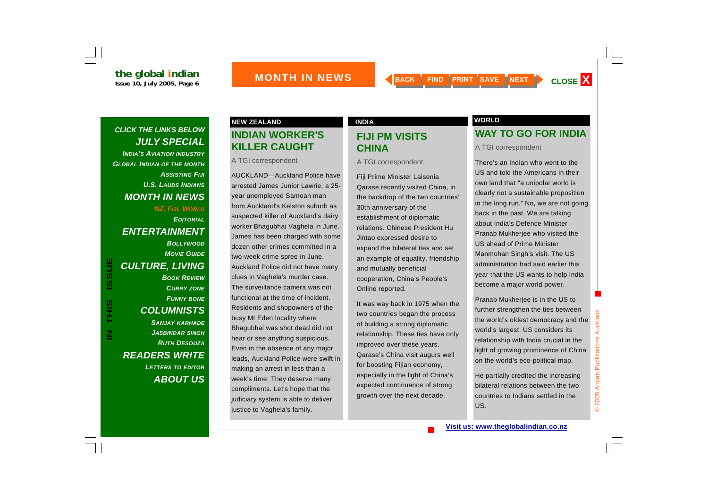#### *CLICK THE LINKS BELOW JULY SPECIAL INDIA'S AVIATION INDUSTRY GLOBAL INDIAN OF THE MONTH ASSISTING FIJIU.S. LAUDS INDIANSMONTH IN NEWS NZ, FIJI, WORLD EDITORIALENTERTAINMENT*

*CULTURE, LIVING BOOK REVIEWCURRY ZONE FUNNY BONE COLUMNISTS SANJAY KARHADE JASBINDAR SINGH RUTH DESOUZAREADERS WRITE LETTERS TO EDITOR ABOUT US*

*BOLLYWOODMOVIE GUIDE*

### **INDIAN WORKER'S KILLER CAUGHT**

A TGI correspondent

AUCKLAND—Auckland Police have arrested James Junior Lawrie, a 25 year unemployed Samoan man from Auckland's Kelston suburb as suspected killer of Auckland's dairy worker Bhagubhai Vaghela in June. James has been charged with some dozen other crimes committed in a two-week crime spree in June. Auckland Police did not have many clues in Vaghela's murder case. The surveillance camera was not functional at the time of incident. Residents and shopowners of the busy Mt Eden locality where Bhagubhai was shot dead did not hear or see anything suspicious. Even in the absence of any major leads, Auckland Police were swift in making an arrest in less than a week's time. They deserve many compliments. Let's hope that the judiciary system is able to deliver justice to Vaghela's family.

#### **FIJI PM VISITS CHINA**

A TGI correspondent

Fiji Prime Minister Laisenia Qarase recently visited China, in the backdrop of the two countries' 30th anniversary of the establishment of diplomatic relations. Chinese President Hu Jintao expressed desire to expand the bilateral ties and set an example of equality, friendship and mutually beneficial cooperation, China's People's Online reported.

It was way back in 1975 when the two countries began the process of building a strong diplomatic relationship. These ties have only improved over these years. Qarase's China visit augurs well for boosting Fijian economy, especially in the light of China's expected continuance of strong growth over the next decade.

#### **NEW ZEALAND INDIA INDIA INDIA WORLD**

#### **WAY TO GO FOR INDIA**

A TGI correspondent

There's an Indian who went to the US and told the Americans in their own land that "a unipolar world is clearly not a sustainable proposition in the long run." No, we are not going back in the past. We are talking about India's Defence Minister Pranab Mukherjee who visited the US ahead of Prime Minister Manmohan Singh's visit. The US administration had said earlier this year that the US wants to help India become a major world power.

Pranab Mukherjee is in the US to further strengthen the ties between the world's oldest democracy and the world's largest. US considers its relationship with India crucial in the light of growing prominence of China on the world's eco-political map.

He partially credited the increasing bilateral relations between the two countries to Indians settled in the US.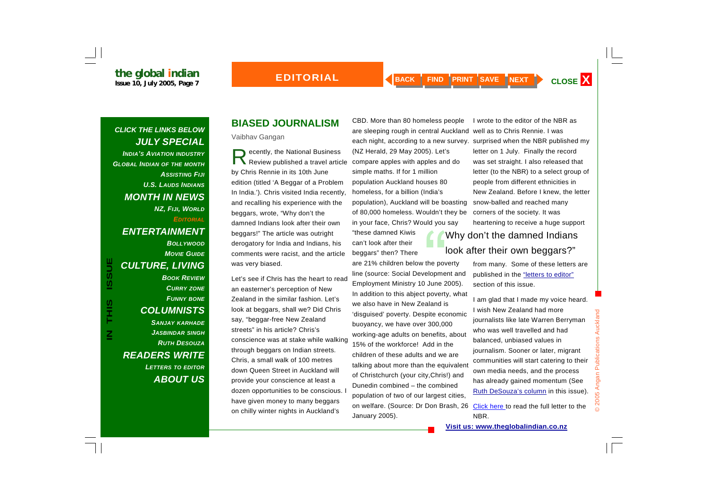*CLICK THE LINKS BELOW JULY SPECIAL INDIA'S AVIATION INDUSTRY GLOBAL INDIAN OF THE MONTH ASSISTING FIJIU.S. LAUDS INDIANSMONTH IN NEWS NZ, FIJI, WORLD EDITORIALENTERTAINMENT BOLLYWOODMOVIE GUIDE*

*CULTURE, LIVING* 

*BOOK REVIEWCURRY ZONE FUNNY BONE COLUMNISTS SANJAY KARHADE JASBINDAR SINGH RUTH DESOUZAREADERS WRITE LETTERS TO EDITOR ABOUT US*

### **BIASED JOURNALISM**

Vaibhav Gangan

ecently, the National Business<br>Review published a travel article by Chris Rennie in its 10th June edition (titled 'A Beggar of a Problem In India.'). Chris visited India recently, and recalling his experience with the beggars, wrote, "Why don't the damned Indians look after their own beggars!" The article was outright derogatory for India and Indians, his comments were racist, and the article was very biased.

Let's see if Chris has the heart to read an easterner's perception of New Zealand in the similar fashion. Let's look at beggars, shall we? Did Chris say, "beggar-free New Zealand streets" in his article? Chris's conscience was at stake while walking through beggars on Indian streets. Chris, a small walk of 100 metres down Queen Street in Auckland will provide your conscience at least a dozen opportunities to be conscious. have given money to many beggars on chilly winter nights in Auckland's

CBD. More than 80 homeless people are sleeping rough in central Auckland well as to Chris Rennie. I was each night, according to a new survey. surprised when the NBR published my (NZ Herald, 29 May 2005). Let's compare apples with apples and do simple maths. If for 1 million population Auckland houses 80 homeless, for a billion (India's population), Auckland will be boasting of 80,000 homeless. Wouldn't they be in your face, Chris? Would you say

"these damned Kiwis can't look after their beggars" then? There

are 21% children below the poverty line (source: Social Development and Employment Ministry 10 June 2005). In addition to this abject poverty, what we also have in New Zealand is 'disguised' poverty. Despite economic buoyancy, we have over 300,000 working-age adults on benefits, about 15% of the workforce! Add in the children of these adults and we are talking about more than the equivalent of Christchurch (your city,Chris!) and Dunedin combined – the combined population of two of our largest cities, on welfare. (Source: Dr Don Brash, 26 <u>Click here t</u>o read the full letter to the January 2005).

I wrote to the editor of the NBR as letter on 1 July. Finally the record was set straight. I also released that letter (to the NBR) to a select group of people from different ethnicities in New Zealand. Before I knew, the letter snow-balled and reached many corners of the society. It was heartening to receive a huge support

#### Why don't the damned Indians look after their own beggars?"

from many. Some of these letters are published in the "letters to editor" section of this issue.

I am glad that I made my voice heard. I wish New Zealand had more journalists like late Warren Berryman who was well travelled and had balanced, unbiased values in journalism. Sooner or later, migrant communities will start catering to their own media needs, and the process has already gained momentum (See Ruth DeSouza's column in this issue).

NBR.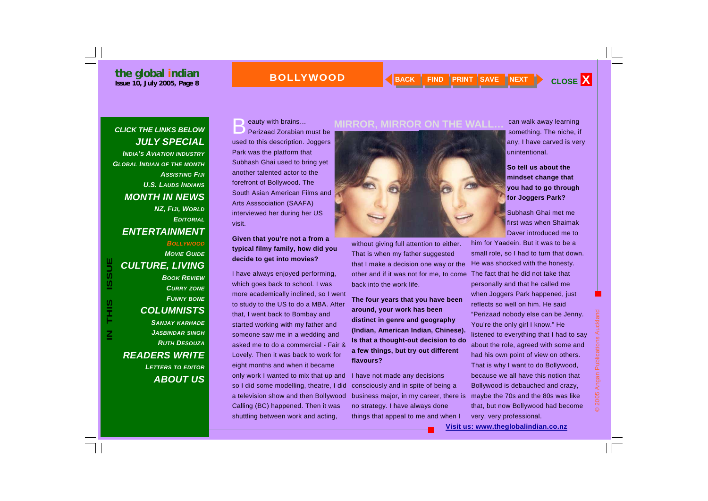#### **the global indian ISSUE 10, July 2005, Page 8 PRINT CLOSE X BOLLYWOOD BACK FIND PRINT SAVE NEXT CLOSE X**

#### **BOLLYWOOD**

#### *CLICK THE LINKS BELOW JULY SPECIAL INDIA'S AVIATION INDUSTRY GLOBAL INDIAN OF THE MONTH ASSISTING FIJIU.S. LAUDS INDIANSMONTH IN NEWS NZ, FIJI, WORLD EDITORIALENTERTAINMENT BOLLYWOODMOVIE GUIDE*

#### *CULTURE, LIVING BOOK REVIEWCURRY ZONE FUNNY BONE*

#### *COLUMNISTS*

*SANJAY KARHADE JASBINDAR SINGH RUTH DESOUZAREADERS WRITE LETTERS TO EDITOR ABOUT US*

#### eauty with brains...<br>Perizaad Zorabian must be used to this description. Joggers Park was the platform that Subhash Ghai used to bring yet another talented actor to the forefront of Bollywood. The South Asian American Films and Arts Asssociation (SAAFA) interviewed her during her US visit.

**Given that you're not a from a typical filmy family, how did you decide to get into movies?** 

I have always enjoyed performing, which goes back to school. I was more academically inclined, so I went to study to the US to do a MBA. After that, I went back to Bombay and started working with my father and someone saw me in a wedding and asked me to do a commercial - Fair & Lovely. Then it was back to work for eight months and when it became only work I wanted to mix that up and so I did some modelling, theatre, I did a television show and then Bollywood Calling (BC) happened. Then it was shuttling between work and acting,



without giving full attention to either. That is when my father suggested that I make a decision one way or the other and if it was not for me, to come back into the work life.

**The four years that you have been around, your work has been distinct in genre and geography (Indian, American Indian, Chinese). Is that a thought-out decision to do a few things, but try out different flavours?** 

I have not made any decisions consciously and in spite of being a business major, in my career, there is no strategy. I have always done things that appeal to me and when I

can walk away learning something. The niche, if any, I have carved is very unintentional.

**So tell us about the mindset change that you had to go through for Joggers Park?** 

Subhash Ghai met me first was when Shaimak Daver introduced me to

him for Yaadein. But it was to be a small role, so I had to turn that down. He was shocked with the honesty. The fact that he did not take that personally and that he called me when Joggers Park happened, just reflects so well on him. He said "Perizaad nobody else can be Jenny. You're the only girl I know." He listened to everything that I had to say about the role, agreed with some and had his own point of view on others. That is why I want to do Bollywood, because we all have this notion that Bollywood is debauched and crazy, maybe the 70s and the 80s was like that, but now Bollywood had become very, very professional.

© 2005 Angan Publications Auckland

2005 Angan Publications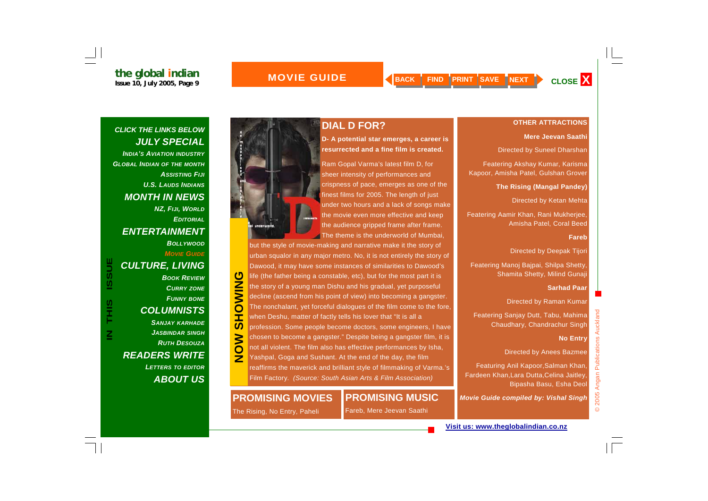### **OTHER ATTRACTIONS**

#### **Mere Jeevan Saathi**

Directed by Suneel Dharshan

Featering Akshay Kumar, Karisma Kapoor, Amisha Patel, Gulshan Grover

**The Rising (Mangal Pandey)** 

Directed by Ketan Mehta

Featering Aamir Khan, Rani Mukherjee, Amisha Patel, Coral Beed

#### **Fareb**

Directed by Deepak Tijori

Featering Manoj Bajpai, Shilpa Shetty, Shamita Shetty, Milind Gunaji

#### **Sarhad Paar**

Directed by Raman Kumar

Featering Sanjay Dutt, Tabu, Mahima Chaudhary, Chandrachur Singh

#### **No Entry**

Directed by Anees Bazmee

Featuring Anil Kapoor,Salman Khan, Fardeen Khan,Lara Dutta,Celina Jaitley, Bipasha Basu, Esha Deol

*Movie Guide compiled by: Vishal Singh*

*CLICK THE LINKS BELOW JULY SPECIAL INDIA'S AVIATION INDUSTRY GLOBAL INDIAN OF THE MONTH ASSISTING FIJIU.S. LAUDS INDIANS MONTH IN NEWS NZ, FIJI, WORLD EDITORIALENTERTAINMENT BOLLYWOODMOVIE GUIDE***ISSUE** *CULTURE, LIVING BOOK REVIEWCURRY ZONE FUNNY BONE* S<br>H<br>H *COLUMNISTS SANJAY KARHADE JASBINDAR SINGH*

**IN THIS ISSUE**

 $\overline{\mathsf{z}}$ 

*RUTH DESOUZA*

*LETTERS TO EDITOR ABOUT US*

*READERS WRITE* 



#### **DIAL D FOR?**

**D- A potential star emerges, a career is resurrected and a fine film is created.** 

Ram Gopal Varma's latest film D, for sheer intensity of performances and crispness of pace, emerges as one of the finest films for 2005. The length of just under two hours and a lack of songs make the movie even more effective and keep the audience gripped frame after frame. The theme is the underworld of Mumbai.

but the style of movie-making and narrative make it the story of urban squalor in any major metro. No, it is not entirely the story of Dawood, it may have some instances of similarities to Dawood's **NOW SHOW SHOW ONINOHS** life (the father being a constable, etc), but for the most part it is the story of a young man Dishu and his gradual, yet purposeful decline (ascend from his point of view) into becoming a gangster. The nonchalant, yet forceful dialogues of the film come to the fore, when Deshu, matter of factly tells his lover that "It is all a profession. Some people become doctors, some engineers, I have **NON** chosen to become a gangster." Despite being a gangster film, it is not all violent. The film also has effective performances by Isha, Yashpal, Goga and Sushant. At the end of the day, the film reaffirms the maverick and brilliant style of filmmaking of Varma.'s Film Factory. *(Source: South Asian Arts & Film Association)*

#### **PROMISING MOVIES**

#### **PROMISING MUSIC**

The Rising, No Entry, Paheli

Fareb, Mere Jeevan Saathi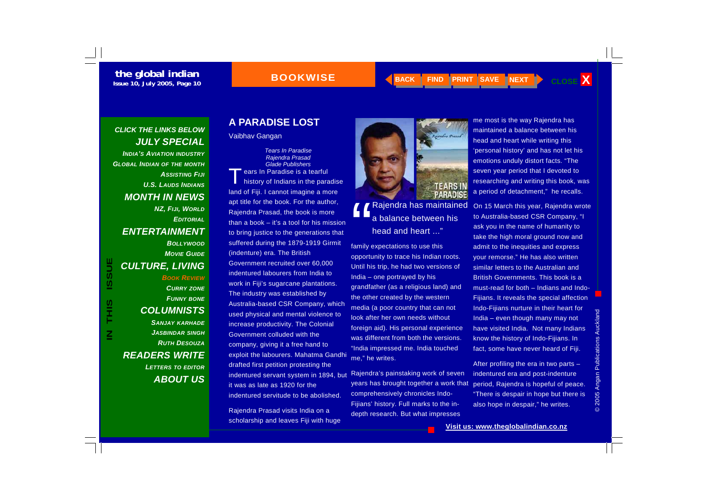#### **BOOKWISE**

**BACK FIND PRINT SAVE INEXT** 

#### *CLICK THE LINKS BELOW JULY SPECIAL INDIA'S AVIATION INDUSTRY GLOBAL INDIAN OF THE MONTH ASSISTING FIJIU.S. LAUDS INDIANSMONTH IN NEWS NZ, FIJI, WORLD EDITORIALENTERTAINMENT BOLLYWOODMOVIE GUIDE*

*CULTURE, LIVING* 

#### *CURRY ZONE FUNNY BONE COLUMNISTS SANJAY KARHADE JASBINDAR SINGH RUTH DESOUZAREADERS WRITE*

*BOOK REVIEW*

*LETTERS TO EDITOR ABOUT US*

#### **A PARADISE LOST**

Vaibhav Gangan

*Tears In Paradise Rajendra Prasad Glade Publishers* ears In Paradise is a tearful<br>history of Indians in the paradise land of Fiji. I cannot imagine a more apt title for the book. For the author, Rajendra Prasad, the book is more than a book – it's a tool for his mission to bring justice to the generations that suffered during the 1879-1919 Girmit (indenture) era. The British Government recruited over 60,000 indentured labourers from India to work in Fiji's sugarcane plantations. The industry was established by Australia-based CSR Company, which used physical and mental violence to increase productivity. The Colonial Government colluded with the company, giving it a free hand to exploit the labourers. Mahatma Gandhi drafted first petition protesting the indentured servant system in 1894, but it was as late as 1920 for the indentured servitude to be abolished.

Rajendra Prasad visits India on a scholarship and leaves Fiji with huge



family expectations to use this opportunity to trace his Indian roots. Until his trip, he had two versions of India – one portrayed by his grandfather (as a religious land) and the other created by the western media (a poor country that can not look after her own needs without foreign aid). His personal experience was different from both the versions. "India impressed me. India touched me," he writes.

Rajendra's painstaking work of seven years has brought together a work that comprehensively chronicles Indo-Fijians' history. Full marks to the indepth research. But what impresses

me most is the way Rajendra has maintained a balance between his head and heart while writing this 'personal history' and has not let his emotions unduly distort facts. "The seven year period that I devoted to researching and writing this book, was a period of detachment," he recalls.

On 15 March this year, Rajendra wrote to Australia-based CSR Company, "I ask you in the name of humanity to take the high moral ground now and admit to the inequities and express your remorse." He has also written similar letters to the Australian and British Governments. This book is a must-read for both – Indians and Indo-Fijians. It reveals the special affection Indo-Fijians nurture in their heart for India – even though many may not have visited India. Not many Indians know the history of Indo-Fijians. In fact, some have never heard of Fiji.

After profiling the era in two parts – indentured era and post-indenture period, Rajendra is hopeful of peace. "There is despair in hope but there is also hope in despair," he writes.

© 2005 Angan Publications Auckland © 2005 Angan Publications Auckland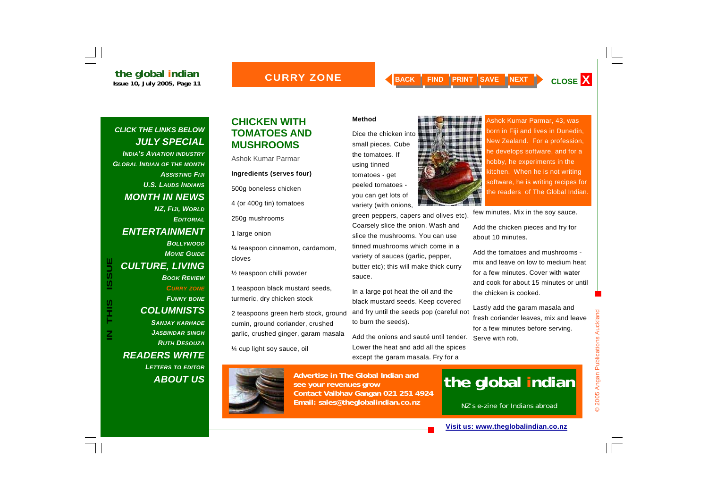#### **CURRY ZONE**

### *CLICK THE LINKS BELOW JULY SPECIAL INDIA'S AVIATION INDUSTRY GLOBAL INDIAN OF THE MONTH ASSISTING FIJIU.S. LAUDS INDIANSMONTH IN NEWS NZ, FIJI, WORLD EDITORIALENTERTAINMENT BOLLYWOODMOVIE GUIDECULTURE, LIVING*

#### *BOOK REVIEWCURRY ZONE FUNNY BONE COLUMNISTS SANJAY KARHADE JASBINDAR SINGH RUTH DESOUZA*

*READERS WRITE LETTERS TO EDITOR ABOUT US*

#### **CHICKEN WITH TOMATOES AND MUSHROOMS**

Ashok Kumar Parmar

#### **Ingredients (serves four)**

500g boneless chicken

4 (or 400g tin) tomatoes

250g mushrooms

1 large onion

¼ teaspoon cinnamon, cardamom, cloves

½ teaspoon chilli powder

1 teaspoon black mustard seeds, turmeric, dry chicken stock

2 teaspoons green herb stock, ground cumin, ground coriander, crushed garlic, crushed ginger, garam masala

¼ cup light soy sauce, oil



Dice the chicken into small pieces. Cube the tomatoes. If using tinned tomatoes - get peeled tomatoes you can get lots of variety (with onions,

green peppers, capers and olives etc). Coarsely slice the onion. Wash and slice the mushrooms. You can use tinned mushrooms which come in a variety of sauces (garlic, pepper, butter etc); this will make thick curry sauce.

In a large pot heat the oil and the black mustard seeds. Keep covered and fry until the seeds pop (careful not to burn the seeds).

Add the onions and sauté until tender. Lower the heat and add all the spices except the garam masala. Fry for a



Ashok Kumar Parmar, 43, was born in Fiji and lives in Dunedin, New Zealand. For a profession, he develops software, and for a hobby, he experiments in the kitchen. When he is not writing software, he is writing recipes for the readers of The Global Indian.

few minutes. Mix in the soy sauce.

Add the chicken pieces and fry for about 10 minutes.

Add the tomatoes and mushrooms mix and leave on low to medium heat for a few minutes. Cover with water and cook for about 15 minutes or until the chicken is cooked.

Lastly add the garam masala and fresh coriander leaves, mix and leave for a few minutes before serving. Serve with roti.

© 2005 Angan Publications Auckland

2005 Angan Publications Auckland



**Advertise in The Global Indian and see your revenues grow Contact Vaibhav Gangan 021 251 4924 Email: sales@theglobalindian.co.nz**

## **the global indian**

NZ's e-zine for Indians abroad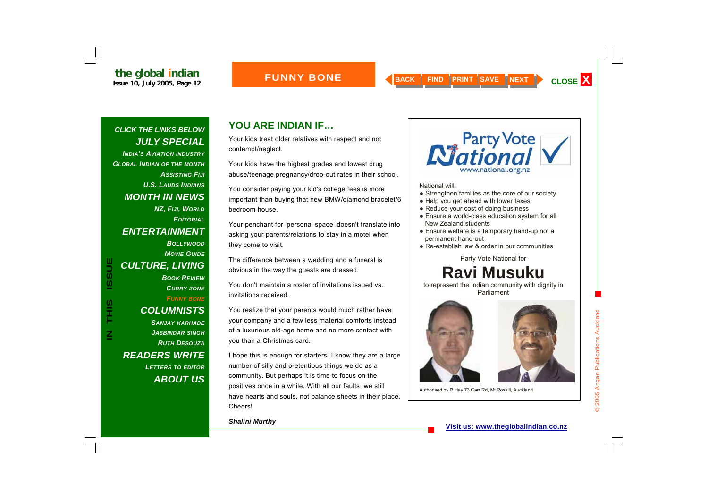#### **FUNNY BONE**

*CLICK THE LINKS BELOW JULY SPECIAL INDIA'S AVIATION INDUSTRY GLOBAL INDIAN OF THE MONTH ASSISTING FIJIU.S. LAUDS INDIANSMONTH IN NEWS NZ, FIJI, WORLD EDITORIALENTERTAINMENT BOLLYWOODMOVIE GUIDE***IN THIS ISSUE ISSUE** *CULTURE, LIVING BOOK REVIEWCURRY ZONE FUNNY BONE* S<br>H<br>H<br>H *COLUMNISTS SANJAY KARHADE*  $\overline{\mathsf{z}}$ *JASBINDAR SINGH RUTH DESOUZAREADERS WRITE LETTERS TO EDITOR ABOUT US*

### **YOU ARE INDIAN IF…**

Your kids treat older relatives with respect and not contempt/neglect.

Your kids have the highest grades and lowest drug abuse/teenage pregnancy/drop-out rates in their school.

You consider paying your kid's college fees is more important than buying that new BMW/diamond bracelet/6 bedroom house.

Your penchant for 'personal space' doesn't translate into asking your parents/relations to stay in a motel when they come to visit.

The difference between a wedding and a funeral is obvious in the way the guests are dressed.

You don't maintain a roster of invitations issued vs. invitations received.

You realize that your parents would much rather have your company and a few less material comforts instead of a luxurious old-age home and no more contact with you than a Christmas card.

I hope this is enough for starters. I know they are a large number of silly and pretentious things we do as a community. But perhaps it is time to focus on the positives once in a while. With all our faults, we still have hearts and souls, not balance sheets in their place. Cheers!

*Shalini Murthy* 



National will:

- Strengthen families as the core of our society
- Help you get ahead with lower taxes
- Reduce your cost of doing business
- Ensure a world-class education system for all New Zealand students
- Ensure welfare is a temporary hand-up not a permanent hand-out
- Re-establish law & order in our communities

Party Vote National for

### **Ravi Musuku**

to represent the Indian community with dignity in Parliament



Authorised by R Hay 73 Carr Rd, Mt.Roskill, Auckland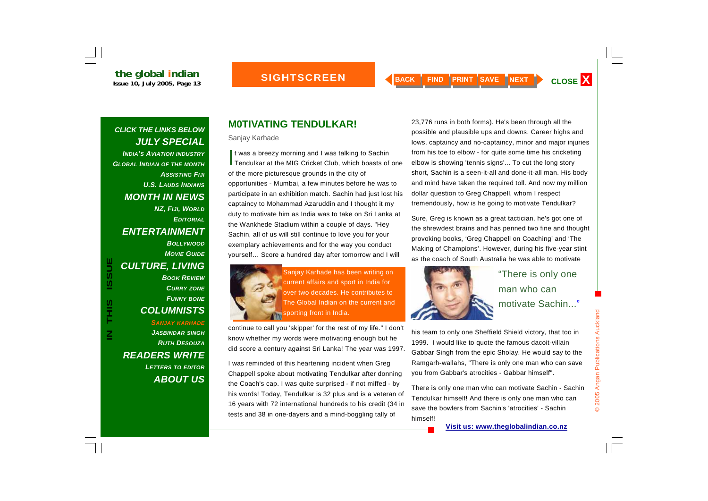*CLICK THE LINKS BELOW JULY SPECIAL INDIA'S AVIATION INDUSTRY GLOBAL INDIAN OF THE MONTH ASSISTING FIJIU.S. LAUDS INDIANSMONTH IN NEWS NZ, FIJI, WORLD EDITORIALENTERTAINMENT BOLLYWOODMOVIE GUIDECULTURE, LIVING BOOK REVIEWCURRY ZONE FUNNY BONE*

#### *COLUMNISTS SANJAY KARHADE JASBINDAR SINGH RUTH DESOUZAREADERS WRITE LETTERS TO EDITOR ABOUT US*

#### **M0TIVATING TENDULKAR!**

Sanjay Karhade

It was a breezy morning and I was talking to Sachin<br>Tendulkar at the MIG Cricket Club, which boasts of one of the more picturesque grounds in the city of opportunities - Mumbai, a few minutes before he was to participate in an exhibition match. Sachin had just lost his captaincy to Mohammad Azaruddin and I thought it my duty to motivate him as India was to take on Sri Lanka at the Wankhede Stadium within a couple of days. "Hey Sachin, all of us will still continue to love you for your exemplary achievements and for the way you conduct yourself… Score a hundred day after tomorrow and I will



CULTURE, LIVING<br>
BOOK REVIEW<br>
BOOK REVIEW<br>
CURRY ZONE<br>
CURRY ZONE<br>
COLUMNISTS<br>
COLUMNISTS<br>
COLUMNISTS<br>
COLUMNISTS<br>
COLUMNISTS<br>
COLUMNISTS<br>
COLUMNISTS<br>
COLUMNISTS<br>
COLUMNISTS<br>
COLUMNISTS<br>
COLUMNISTS<br>
COLUMNISTS<br>
COLUMNISTS<br>

continue to call you 'skipper' for the rest of my life." I don't know whether my words were motivating enough but he did score a century against Sri Lanka! The year was 1997.

I was reminded of this heartening incident when Greg Chappell spoke about motivating Tendulkar after donning the Coach's cap. I was quite surprised - if not miffed - by his words! Today, Tendulkar is 32 plus and is a veteran of 16 years with 72 international hundreds to his credit (34 in tests and 38 in one-dayers and a mind-boggling tally of

23,776 runs in both forms). He's been through all the possible and plausible ups and downs. Career highs and lows, captaincy and no-captaincy, minor and major injuries from his toe to elbow - for quite some time his cricketing elbow is showing 'tennis signs'... To cut the long story short, Sachin is a seen-it-all and done-it-all man. His body and mind have taken the required toll. And now my million dollar question to Greg Chappell, whom I respect tremendously, how is he going to motivate Tendulkar?

Sure, Greg is known as a great tactician, he's got one of the shrewdest brains and has penned two fine and thought provoking books, 'Greg Chappell on Coaching' and 'The Making of Champions'. However, during his five-year stint as the coach of South Australia he was able to motivate



his team to only one Sheffield Shield victory, that too in 1999. I would like to quote the famous dacoit-villain Gabbar Singh from the epic Sholay. He would say to the Ramgarh-wallahs, "There is only one man who can save you from Gabbar's atrocities - Gabbar himself".

There is only one man who can motivate Sachin - Sachin Tendulkar himself! And there is only one man who can save the bowlers from Sachin's 'atrocities' - Sachin himself!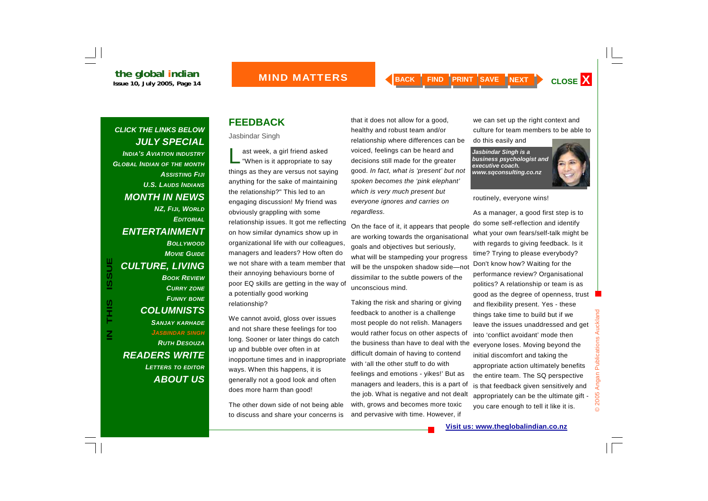#### *CLICK THE LINKS BELOW JULY SPECIAL INDIA'S AVIATION INDUSTRY GLOBAL INDIAN OF THE MONTH ASSISTING FIJIU.S. LAUDS INDIANSMONTH IN NEWS NZ, FIJI, WORLD EDITORIALENTERTAINMENT BOLLYWOODMOVIE GUIDECULTURE, LIVING BOOK REVIEWCURRY ZONE FUNNY BONE*

**IN THIS ISSUE**

S<br>H<br>H<br>H

 $\overline{\mathsf{z}}$ 

**ISSUE** 

*COLUMNISTS SANJAY KARHADE JASBINDAR SINGH RUTH DESOUZAREADERS WRITE LETTERS TO EDITOR ABOUT US*

### **FEEDBACK**

Jasbindar Singh

ast week, a girl friend asked<br>"When is it appropriate to say things as they are versus not saying anything for the sake of maintaining the relationship?" This led to an engaging discussion! My friend was obviously grappling with some relationship issues. It got me reflecting on how similar dynamics show up in organizational life with our colleagues, managers and leaders? How often do we not share with a team member that their annoying behaviours borne of poor EQ skills are getting in the way of a potentially good working relationship?

We cannot avoid, gloss over issues and not share these feelings for too long. Sooner or later things do catch up and bubble over often in at inopportune times and in inappropriate ways. When this happens, it is generally not a good look and often does more harm than good!

The other down side of not being able to discuss and share your concerns is that it does not allow for a good, healthy and robust team and/or relationship where differences can be voiced, feelings can be heard and decisions still made for the greater good. *In fact, what is 'present' but not spoken becomes the 'pink elephant' which is very much present but everyone ignores and carries on regardless.*

On the face of it, it appears that people are working towards the organisational goals and objectives but seriously, what will be stampeding your progress will be the unspoken shadow side—not dissimilar to the subtle powers of the unconscious mind.

Taking the risk and sharing or giving feedback to another is a challenge most people do not relish. Managers would rather focus on other aspects of the business than have to deal with the difficult domain of having to contend with 'all the other stuff to do with feelings and emotions - yikes!' But as managers and leaders, this is a part of the job. What is negative and not dealt with, grows and becomes more toxic and pervasive with time. However, if

we can set up the right context and culture for team members to be able to do this easily and

*Jasbindar Singh is a business psychologist and executive coach. www.sqconsulting.co.nz* 



routinely, everyone wins!

As a manager, a good first step is to do some self-reflection and identify what your own fears/self-talk might be with regards to giving feedback. Is it time? Trying to please everybody? Don't know how? Waiting for the performance review? Organisational politics? A relationship or team is as good as the degree of openness, trust and flexibility present. Yes - these things take time to build but if we leave the issues unaddressed and get into 'conflict avoidant' mode then everyone loses. Moving beyond the initial discomfort and taking the appropriate action ultimately benefits the entire team. The SQ perspective is that feedback given sensitively and appropriately can be the ultimate gift you care enough to tell it like it is.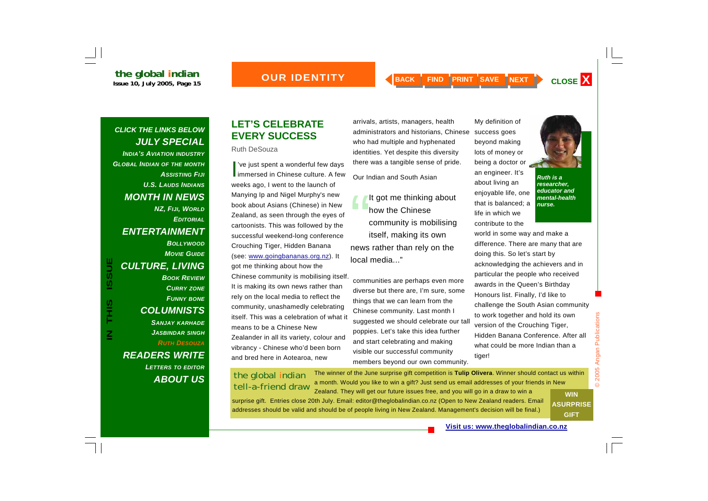#### *CLICK THE LINKS BELOW JULY SPECIAL INDIA'S AVIATION INDUSTRY GLOBAL INDIAN OF THE MONTH ASSISTING FIJIU.S. LAUDS INDIANSMONTH IN NEWS*

*NZ, FIJI, WORLD EDITORIALENTERTAINMENT BOLLYWOODMOVIE GUIDECULTURE, LIVING BOOK REVIEWCURRY ZONE FUNNY BONE COLUMNISTS* 

*SANJAY KARHADE JASBINDAR SINGH RUTH DESOUZAREADERS WRITE LETTERS TO EDITOR*

### *ABOUT US*

#### **LET'S CELEBRATE EVERY SUCCESS**

#### Ruth DeSouza

I've just spent a wonderful few days<br>immersed in Chinese culture. A few weeks ago, I went to the launch of Manying Ip and Nigel Murphy's new book about Asians (Chinese) in New Zealand, as seen through the eyes of cartoonists. This was followed by the successful weekend-long conference Crouching Tiger, Hidden Banana (see: www.goingbananas.org.nz). It got me thinking about how the Chinese community is mobilising itself. It is making its own news rather than rely on the local media to reflect the community, unashamedly celebrating itself. This was a celebration of what it means to be a Chinese New Zealander in all its variety, colour and vibrancy - Chinese who'd been born and bred here in Aotearoa, new

arrivals, artists, managers, health administrators and historians, Chinese who had multiple and hyphenated identities. Yet despite this diversity there was a tangible sense of pride.

Our Indian and South Asian

It got me thinking about<br>how the Chinese community is mobilising itself, making its own news rather than rely on the local media..."

communities are perhaps even more diverse but there are, I'm sure, some things that we can learn from the Chinese community. Last month I suggested we should celebrate our tall poppies. Let's take this idea further and start celebrating and making visible our successful community members beyond our own community.

My definition of success goes beyond making lots of money or being a doctor or an engineer. It's about living an

contribute to the



enjoyable life, one that is balanced; a life in which we *Ruth is a researcher, educator and mental-health nurse.* 

world in some way and make a difference. There are many that are doing this. So let's start by acknowledging the achievers and in particular the people who received awards in the Queen's Birthday Honours list. Finally, I'd like to challenge the South Asian community to work together and hold its own version of the Crouching Tiger, Hidden Banana Conference. After all what could be more Indian than a tiger!

#### the global indian tell-a-friend draw

The winner of the June surprise gift competition is **Tulip Olivera**. Winner should contact us within a month. Would you like to win a gift? Just send us email addresses of your friends in New Zealand. They will get our future issues free, and you will go in a draw to win a

surprise gift. Entries close 20th July. Email: editor@theglobalindian.co.nz (Open to New Zealand readers. Email addresses should be valid and should be of people living in New Zealand. Management's decision will be final.)

**WIN ASURPRISE GIFT** 

© 2005 Angan Publications

 $\odot$ 

2005 Angan Publications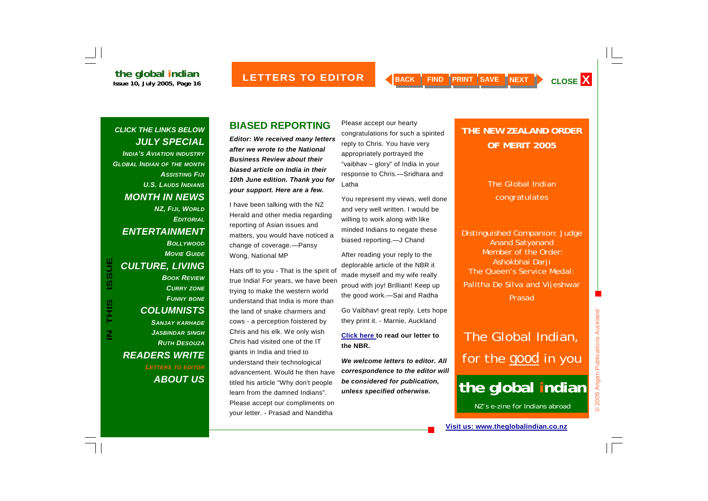#### *CLICK THE LINKS BELOW JULY SPECIAL INDIA'S AVIATION INDUSTRY GLOBAL INDIAN OF THE MONTH ASSISTING FIJIU.S. LAUDS INDIANSMONTH IN NEWS NZ, FIJI, WORLD EDITORIALENTERTAINMENT BOLLYWOODMOVIE GUIDE***ISSUE** *CULTURE, LIVING*

**IN THIS ISSUE**

S<br>H<br>H

 $\overline{\mathsf{z}}$ 

*BOOK REVIEWCURRY ZONE FUNNY BONE COLUMNISTS SANJAY KARHADE JASBINDAR SINGH RUTH DESOUZAREADERS WRITE LETTERS TO EDITOR ABOUT US*

#### **BIASED REPORTING**

*Editor: We received many letters after we wrote to the National Business Review about their biased article on India in their 10th June edition. Thank you for your support. Here are a few.* 

I have been talking with the NZ Herald and other media regarding reporting of Asian issues and matters, you would have noticed a change of coverage.—Pansy Wong, National MP

Hats off to you - That is the spirit of true India! For years, we have been trying to make the western world understand that India is more than the land of snake charmers and cows - a perception foistered by Chris and his elk. We only wish Chris had visited one of the IT giants in India and tried to understand their technological advancement. Would he then have titled his article "Why don't people learn from the damned Indians". Please accept our compliments on your letter. - Prasad and Nanditha

Please accept our hearty congratulations for such a spirited reply to Chris. You have very appropriately portrayed the "vaibhav – glory" of India in your response to Chris.—Sridhara and Latha

You represent my views, well done and very well written. I would be willing to work along with like minded Indians to negate these biased reporting.—J Chand

After reading your reply to the deplorable article of the NBR it made myself and my wife really proud with joy! Brilliant! Keep up the good work.—Sai and Radha

Go Vaibhav! great reply. Lets hope they print it. - Marnie, Auckland

**Click here to read our letter to the NBR.** 

*We welcome letters to editor. All correspondence to the editor will be considered for publication, unless specified otherwise.*

#### **THE NEW ZEALAND ORDER OF MERIT 2005**

#### The Global Indian congratulates

Distinguished Companion: Judge Anand Satyanand Member of the Order: Ashokbhai Darji The Queen's Service Medal: Palitha De Silva and Vijeshwar Prasad

## The Global Indian, for the *good* in you

## **the global indian**

NZ's e-zine for Indians abroad